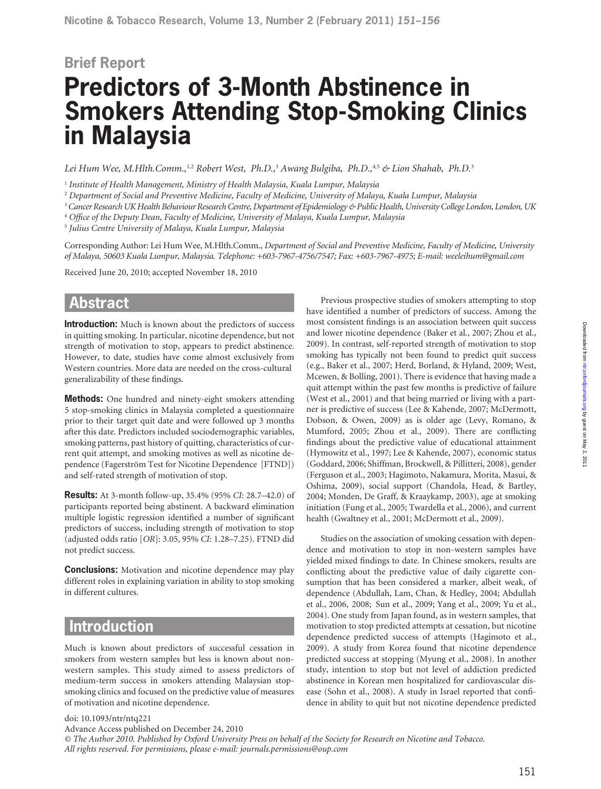## **Brief Report**

# **Predictors of 3-Month Abstinence in Smokers Attending Stop-Smoking Clinics in Malaysia**

*Lei Hum Wee, M.Hlth.Comm.,*<sup>1</sup>*,*<sup>2</sup>  *Robert West, Ph.D.,*<sup>3</sup>  *Awang Bulgiba, Ph.D.,*<sup>4</sup>*,*<sup>5</sup>  *& Lion Shahab, Ph.D.*<sup>3</sup>

1  *Institute of Health Management, Ministry of Health Malaysia, Kuala Lumpur, Malaysia*

2  *Department of Social and Preventive Medicine, Faculty of Medicine, University of Malaya, Kuala Lumpur, Malaysia*

3  *Cancer Research UK Health Behaviour Research Centre, Department of Epidemiology & Public Health, University College London, London, UK*

4  *Office of the Deputy Dean, Faculty of Medicine, University of Malaya, Kuala Lumpur, Malaysia*

5  *Julius Centre University of Malaya, Kuala Lumpur, Malaysia*

Corresponding Author: Lei Hum Wee, M.Hlth.Comm., *Department of Social and Preventive Medicine, Faculty of Medicine, University of Malaya, 50603 Kuala Lumpur, Malaysia. Telephone: +603-7967-4756/7547; Fax: +603-7967-4975; E-mail: weeleihum@gmail.com*

Received June 20, 2010; accepted November 18, 2010

#### **Abstract**

**Introduction:** Much is known about the predictors of success in quitting smoking. In particular, nicotine dependence, but not strength of motivation to stop, appears to predict abstinence. However, to date, studies have come almost exclusively from Western countries. More data are needed on the cross-cultural generalizability of these findings.

**Methods:** One hundred and ninety-eight smokers attending 5 stop-smoking clinics in Malaysia completed a questionnaire prior to their target quit date and were followed up 3 months after this date. Predictors included sociodemographic variables, smoking patterns, past history of quitting, characteristics of current quit attempt, and smoking motives as well as nicotine dependence (Fagerström Test for Nicotine Dependence [FTND]) and self-rated strength of motivation of stop.

**Results:** At 3-month follow-up, 35.4% (95% *CI*: 28.7–42.0) of participants reported being abstinent. A backward elimination multiple logistic regression identified a number of significant predictors of success, including strength of motivation to stop (adjusted odds ratio [*OR*]: 3.05, 95% *CI*: 1.28–7.25). FTND did not predict success.

**Conclusions:** Motivation and nicotine dependence may play different roles in explaining variation in ability to stop smoking in different cultures.

#### **Introduction**

Much is known about predictors of successful cessation in smokers from western samples but less is known about nonwestern samples. This study aimed to assess predictors of medium-term success in smokers attending Malaysian stopsmoking clinics and focused on the predictive value of measures of motivation and nicotine dependence.

Previous prospective studies of smokers attempting to stop have identified a number of predictors of success. Among the most consistent findings is an association between quit success and lower nicotine dependence ([Baker et al., 2007](#page-4-0); [Zhou et al.,](#page-5-0) [2009\)](#page-5-0). In contrast, self-reported strength of motivation to stop smoking has typically not been found to predict quit success (e.g., [Baker et al., 2007;](#page-4-0) [Herd, Borland, & Hyland, 2009](#page-4-1); [West,](#page-5-1) [Mcewen, & Bolling, 2001](#page-5-1)). There is evidence that having made a quit attempt within the past few months is predictive of failure ([West et al., 2001\)](#page-5-1) and that being married or living with a partner is predictive of success ([Lee & Kahende, 2007;](#page-4-2) [McDermott,](#page-4-3) [Dobson, & Owen, 2009](#page-4-3)) as is older age ([Levy, Romano, &](#page-4-4) [Mumford, 2005;](#page-4-4) [Zhou et al., 2009](#page-5-0)). There are conflicting findings about the predictive value of educational attainment ([Hymowitz et al., 1997](#page-4-5); [Lee & Kahende, 2007\)](#page-4-2), economic status ([Goddard, 2006;](#page-4-6) [Shiffman, Brockwell, & Pillitteri, 2008\)](#page-5-2), gender ([Ferguson et al., 2003](#page-4-7); [Hagimoto, Nakamura, Morita, Masui, &](#page-4-8) [Oshima, 2009\)](#page-4-8), social support ([Chandola, Head, & Bartley,](#page-4-9) [2004;](#page-4-9) [Monden, De Graff, & Kraaykamp, 2003](#page-4-10)), age at smoking initiation [\(Fung et al., 2005](#page-4-11); [Twardella et al., 2006\)](#page-5-3), and current health [\(Gwaltney et al., 2001](#page-4-12); [McDermott et al., 2009\)](#page-4-3).

Studies on the association of smoking cessation with dependence and motivation to stop in non-western samples have yielded mixed findings to date. In Chinese smokers, results are conflicting about the predictive value of daily cigarette consumption that has been considered a marker, albeit weak, of dependence ([Abdullah, Lam, Chan, & Hedley, 2004](#page-4-13); [Abdullah](#page-4-14) [et al., 2006](#page-4-14), [2008;](#page-4-15) [Sun et al., 2009;](#page-5-4) [Yang et al., 2009](#page-5-5); [Yu et al.,](#page-5-6) [2004\)](#page-5-6). One study from Japan found, as in western samples, that motivation to stop predicted attempts at cessation, but nicotine dependence predicted success of attempts [\(Hagimoto et al.,](#page-4-8) [2009\)](#page-4-8). A study from Korea found that nicotine dependence predicted success at stopping ([Myung et al., 2008](#page-4-16)). In another study, intention to stop but not level of addiction predicted abstinence in Korean men hospitalized for cardiovascular disease ([Sohn et al., 2008](#page-5-7)). A study in Israel reported that confidence in ability to quit but not nicotine dependence predicted

doi: 10.1093/ntr/ntq221

Advance Access published on December 24, 2010

*© The Author 2010. Published by Oxford University Press on behalf of the Society for Research on Nicotine and Tobacco. All rights reserved. For permissions, please e-mail: journals.permissions@oup.com*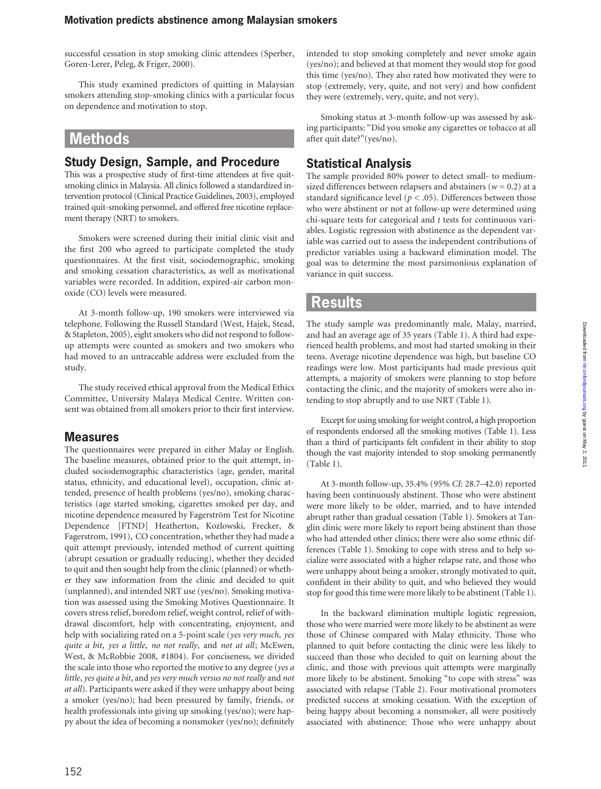successful cessation in stop smoking clinic attendees ([Sperber,](#page-5-8)  [Goren-Lerer, Peleg, & Friger, 2000\)](#page-5-8).

This study examined predictors of quitting in Malaysian smokers attending stop-smoking clinics with a particular focus on dependence and motivation to stop.

#### **Methods**

#### **Study Design, Sample, and Procedure**

This was a prospective study of first-time attendees at five quitsmoking clinics in Malaysia. All clinics followed a standardized intervention protocol ([Clinical Practice Guidelines, 2003](#page-4-17)), employed trained quit-smoking personnel, and offered free nicotine replacement therapy (NRT) to smokers.

Smokers were screened during their initial clinic visit and the first 200 who agreed to participate completed the study questionnaires. At the first visit, sociodemographic, smoking and smoking cessation characteristics, as well as motivational variables were recorded. In addition, expired-air carbon monoxide (CO) levels were measured.

At 3-month follow-up, 190 smokers were interviewed via telephone. Following the Russell Standard [\(West, Hajek, Stead,](#page-5-9)  [& Stapleton, 2005\)](#page-5-9), eight smokers who did not respond to followup attempts were counted as smokers and two smokers who had moved to an untraceable address were excluded from the study.

The study received ethical approval from the Medical Ethics Committee, University Malaya Medical Centre. Written consent was obtained from all smokers prior to their first interview.

#### **Measures**

The questionnaires were prepared in either Malay or English. The baseline measures, obtained prior to the quit attempt, included sociodemographic characteristics (age, gender, marital status, ethnicity, and educational level), occupation, clinic attended, presence of health problems (yes/no), smoking characteristics (age started smoking, cigarettes smoked per day, and nicotine dependence measured by Fagerström Test for Nicotine Dependence [FTND] [Heatherton, Kozlowski, Frecker, &](#page-4-18)  [Fagerstrom, 1991\)](#page-4-18), CO concentration, whether they had made a quit attempt previously, intended method of current quitting (abrupt cessation or gradually reducing), whether they decided to quit and then sought help from the clinic (planned) or whether they saw information from the clinic and decided to quit (unplanned), and intended NRT use (yes/no). Smoking motivation was assessed using the Smoking Motives Questionnaire. It covers stress relief, boredom relief, weight control, relief of withdrawal discomfort, help with concentrating, enjoyment, and help with socializing rated on a 5-point scale (*yes very much*, *yes quite a bit*, *yes a little*, *no not really*, and *not at all*; McEwen, West, & McRobbie 2008, #1804). For conciseness, we divided the scale into those who reported the motive to any degree (*yes a little*, *yes quite a bit*, and *yes very much versus no not really* and *not at all*). Participants were asked if they were unhappy about being a smoker (yes/no); had been pressured by family, friends, or health professionals into giving up smoking (yes/no); were happy about the idea of becoming a nonsmoker (yes/no); definitely

intended to stop smoking completely and never smoke again (yes/no); and believed at that moment they would stop for good this time (yes/no). They also rated how motivated they were to stop (extremely, very, quite, and not very) and how confident they were (extremely, very, quite, and not very).

Smoking status at 3-month follow-up was assessed by asking participants: "Did you smoke any cigarettes or tobacco at all after quit date?"(yes/no).

### **Statistical Analysis**

The sample provided 80% power to detect small- to mediumsized differences between relapsers and abstainers ( $w = 0.2$ ) at a standard significance level ( $p < .05$ ). Differences between those who were abstinent or not at follow-up were determined using chi-square tests for categorical and *t* tests for continuous variables. Logistic regression with abstinence as the dependent variable was carried out to assess the independent contributions of predictor variables using a backward elimination model. The goal was to determine the most parsimonious explanation of variance in quit success.

## **Results**

The study sample was predominantly male, Malay, married, and had an average age of 35 years (Table 1). A third had experienced health problems, and most had started smoking in their teens. Average nicotine dependence was high, but baseline CO readings were low. Most participants had made previous quit attempts, a majority of smokers were planning to stop before contacting the clinic, and the majority of smokers were also intending to stop abruptly and to use NRT (Table 1).

Except for using smoking for weight control, a high proportion of respondents endorsed all the smoking motives (Table 1). Less than a third of participants felt confident in their ability to stop though the vast majority intended to stop smoking permanently (Table 1).

At 3-month follow-up, 35.4% (95% *CI*: 28.7–42.0) reported having been continuously abstinent. Those who were abstinent were more likely to be older, married, and to have intended abrupt rather than gradual cessation (Table 1). Smokers at Tanglin clinic were more likely to report being abstinent than those who had attended other clinics; there were also some ethnic differences (Table 1). Smoking to cope with stress and to help socialize were associated with a higher relapse rate, and those who were unhappy about being a smoker, strongly motivated to quit, confident in their ability to quit, and who believed they would stop for good this time were more likely to be abstinent (Table 1).

In the backward elimination multiple logistic regression, those who were married were more likely to be abstinent as were those of Chinese compared with Malay ethnicity. Those who planned to quit before contacting the clinic were less likely to succeed than those who decided to quit on learning about the clinic, and those with previous quit attempts were marginally more likely to be abstinent. Smoking "to cope with stress" was associated with relapse (Table 2). Four motivational promoters predicted success at smoking cessation. With the exception of being happy about becoming a nonsmoker, all were positively associated with abstinence: Those who were unhappy about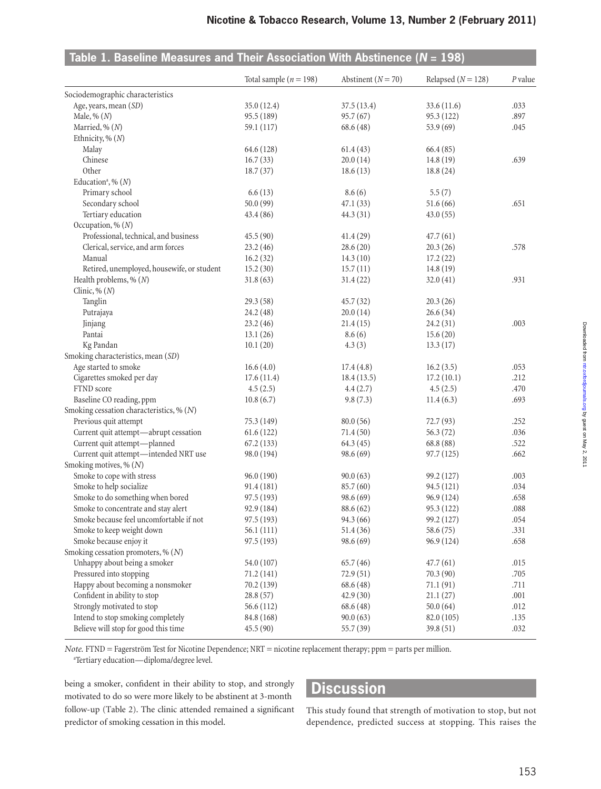|                                            | Total sample ( $n = 198$ ) | Abstinent ( $N = 70$ ) | Relapsed ( $N = 128$ ) | P value |
|--------------------------------------------|----------------------------|------------------------|------------------------|---------|
| Sociodemographic characteristics           |                            |                        |                        |         |
| Age, years, mean (SD)                      | 35.0 (12.4)                | 37.5(13.4)             | 33.6(11.6)             | .033    |
| Male, % $(N)$                              | 95.5 (189)                 | 95.7(67)               | 95.3 (122)             | .897    |
| Married, $\%$ $(N)$                        | 59.1 (117)                 | 68.6(48)               | 53.9(69)               | .045    |
| Ethnicity, $\% (N)$                        |                            |                        |                        |         |
| Malay                                      | 64.6 (128)                 | 61.4(43)               | 66.4(85)               |         |
| Chinese                                    | 16.7(33)                   | 20.0(14)               | 14.8(19)               | .639    |
| Other                                      | 18.7(37)                   | 18.6(13)               | 18.8(24)               |         |
| Education <sup>a</sup> , % $(N)$           |                            |                        |                        |         |
| Primary school                             | 6.6(13)                    | 8.6(6)                 | 5.5(7)                 |         |
| Secondary school                           | 50.0(99)                   | 47.1(33)               | 51.6(66)               | .651    |
| Tertiary education                         | 43.4 (86)                  | 44.3(31)               | 43.0(55)               |         |
| Occupation, % (N)                          |                            |                        |                        |         |
| Professional, technical, and business      | 45.5(90)                   | 41.4(29)               | 47.7(61)               |         |
| Clerical, service, and arm forces          | 23.2(46)                   | 28.6(20)               | 20.3(26)               | .578    |
| Manual                                     | 16.2(32)                   | 14.3(10)               | 17.2(22)               |         |
| Retired, unemployed, housewife, or student | 15.2(30)                   | 15.7(11)               | 14.8(19)               |         |
| Health problems, % $(N)$                   |                            |                        |                        | .931    |
| Clinic, % $(N)$                            | 31.8(63)                   | 31.4(22)               | 32.0(41)               |         |
| Tanglin                                    | 29.3(58)                   | 45.7(32)               | 20.3(26)               |         |
|                                            |                            |                        |                        |         |
| Putrajaya                                  | 24.2(48)                   | 20.0(14)               | 26.6(34)               | .003    |
| Jinjang<br>Pantai                          | 23.2(46)                   | 21.4(15)               | 24.2(31)               |         |
| Kg Pandan                                  | 13.1(26)                   | 8.6(6)                 | 15.6(20)               |         |
|                                            | 10.1(20)                   | 4.3(3)                 | 13.3(17)               |         |
| Smoking characteristics, mean (SD)         |                            |                        |                        |         |
| Age started to smoke                       | 16.6(4.0)                  | 17.4(4.8)              | 16.2(3.5)              | .053    |
| Cigarettes smoked per day                  | 17.6(11.4)                 | 18.4(13.5)             | 17.2(10.1)             | .212    |
| FTND score                                 | 4.5(2.5)                   | 4.4(2.7)               | 4.5(2.5)               | .470    |
| Baseline CO reading, ppm                   | 10.8(6.7)                  | 9.8(7.3)               | 11.4(6.3)              | .693    |
| Smoking cessation characteristics, % (N)   |                            |                        |                        |         |
| Previous quit attempt                      | 75.3 (149)                 | 80.0(56)               | 72.7 (93)              | .252    |
| Current quit attempt-abrupt cessation      | 61.6(122)                  | 71.4 (50)              | 56.3(72)               | .036    |
| Current quit attempt-planned               | 67.2(133)                  | 64.3(45)               | 68.8(88)               | .522    |
| Current quit attempt-intended NRT use      | 98.0 (194)                 | 98.6(69)               | 97.7(125)              | .662    |
| Smoking motives, % (N)                     |                            |                        |                        |         |
| Smoke to cope with stress                  | 96.0(190)                  | 90.0(63)               | 99.2 (127)             | .003    |
| Smoke to help socialize                    | 91.4(181)                  | 85.7(60)               | 94.5 (121)             | .034    |
| Smoke to do something when bored           | 97.5 (193)                 | 98.6(69)               | 96.9(124)              | .658    |
| Smoke to concentrate and stay alert        | 92.9 (184)                 | 88.6 (62)              | 95.3 (122)             | .088    |
| Smoke because feel uncomfortable if not    | 97.5 (193)                 | 94.3 (66)              | 99.2 (127)             | .054    |
| Smoke to keep weight down                  | 56.1 (111)                 | 51.4(36)               | 58.6 (75)              | .331    |
| Smoke because enjoy it                     | 97.5 (193)                 | 98.6(69)               | 96.9 (124)             | .658    |
| Smoking cessation promoters, % (N)         |                            |                        |                        |         |
| Unhappy about being a smoker               | 54.0 (107)                 | 65.7(46)               | 47.7(61)               | .015    |
| Pressured into stopping                    | 71.2 (141)                 | 72.9(51)               | 70.3(90)               | .705    |
| Happy about becoming a nonsmoker           | 70.2 (139)                 | 68.6 (48)              | 71.1 (91)              | .711    |
| Confident in ability to stop               | 28.8(57)                   | 42.9(30)               | 21.1(27)               | .001    |
| Strongly motivated to stop                 | 56.6 (112)                 | 68.6(48)               | 50.0(64)               | .012    |
| Intend to stop smoking completely          | 84.8 (168)                 | 90.0(63)               | 82.0 (105)             | .135    |
| Believe will stop for good this time       | 45.5(90)                   | 55.7 (39)              | 39.8(51)               | .032    |

#### **Table 1. Baseline Measures and Their Association With Abstinence (***N* **= 198)**

*Note.* FTND = Fagerström Test for Nicotine Dependence; NRT = nicotine replacement therapy; ppm = parts per million. a Tertiary education—diploma/degree level.

being a smoker, confident in their ability to stop, and strongly motivated to do so were more likely to be abstinent at 3-month follow-up (Table 2). The clinic attended remained a significant predictor of smoking cessation in this model.

# **Discussion**

This study found that strength of motivation to stop, but not dependence, predicted success at stopping. This raises the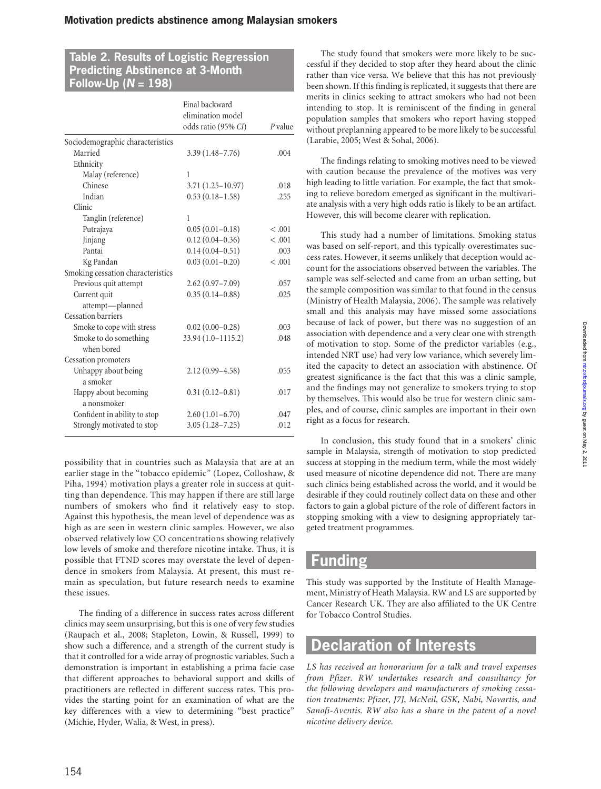**Table 2. Results of Logistic Regression Predicting Abstinence at 3-Month Follow-Up (***N* **= 198)**

|                                     | Final backward<br>elimination model<br>odds ratio (95% CI) | $P$ value |
|-------------------------------------|------------------------------------------------------------|-----------|
| Sociodemographic characteristics    |                                                            |           |
| Married                             | $3.39(1.48 - 7.76)$                                        | .004      |
| Ethnicity                           |                                                            |           |
| Malay (reference)                   | 1                                                          |           |
| Chinese                             | $3.71(1.25 - 10.97)$                                       | .018      |
| Indian                              | $0.53(0.18 - 1.58)$                                        | .255      |
| Clinic                              |                                                            |           |
| Tanglin (reference)                 | 1                                                          |           |
| Putrajaya                           | $0.05(0.01-0.18)$                                          | < 0.01    |
| Jinjang                             | $0.12(0.04 - 0.36)$                                        | < 0.001   |
| Pantai                              | $0.14(0.04 - 0.51)$                                        | .003      |
| Kg Pandan                           | $0.03(0.01-0.20)$                                          | < 0.001   |
| Smoking cessation characteristics   |                                                            |           |
| Previous quit attempt               | $2.62(0.97 - 7.09)$                                        | .057      |
| Current quit                        | $0.35(0.14 - 0.88)$                                        | .025      |
| attempt-planned                     |                                                            |           |
| <b>Cessation</b> barriers           |                                                            |           |
| Smoke to cope with stress           | $0.02(0.00-0.28)$                                          | .003      |
| Smoke to do something<br>when bored | $33.94(1.0 - 1115.2)$                                      | .048      |
| Cessation promoters                 |                                                            |           |
| Unhappy about being<br>a smoker     | $2.12(0.99-4.58)$                                          | .055      |
| Happy about becoming<br>a nonsmoker | $0.31(0.12 - 0.81)$                                        | .017      |
| Confident in ability to stop        | $2.60(1.01-6.70)$                                          | .047      |
| Strongly motivated to stop          | $3.05(1.28 - 7.25)$                                        | .012      |

possibility that in countries such as Malaysia that are at an earlier stage in the "tobacco epidemic" ([Lopez, Colloshaw, &](#page-4-19)  [Piha, 1994](#page-4-19)) motivation plays a greater role in success at quitting than dependence. This may happen if there are still large numbers of smokers who find it relatively easy to stop. Against this hypothesis, the mean level of dependence was as high as are seen in western clinic samples. However, we also observed relatively low CO concentrations showing relatively low levels of smoke and therefore nicotine intake. Thus, it is possible that FTND scores may overstate the level of dependence in smokers from Malaysia. At present, this must remain as speculation, but future research needs to examine these issues.

The finding of a difference in success rates across different clinics may seem unsurprising, but this is one of very few studies [\(Raupach et al., 2008](#page-5-10); [Stapleton, Lowin, & Russell, 1999](#page-5-11)) to show such a difference, and a strength of the current study is that it controlled for a wide array of prognostic variables. Such a demonstration is important in establishing a prima facie case that different approaches to behavioral support and skills of practitioners are reflected in different success rates. This provides the starting point for an examination of what are the key differences with a view to determining "best practice" [\(Michie, Hyder, Walia, & West, i](#page-4-20)n press).

The study found that smokers were more likely to be successful if they decided to stop after they heard about the clinic rather than vice versa. We believe that this has not previously been shown. If this finding is replicated, it suggests that there are merits in clinics seeking to attract smokers who had not been intending to stop. It is reminiscent of the finding in general population samples that smokers who report having stopped without preplanning appeared to be more likely to be successful ([Larabie, 2005](#page-4-21); [West & Sohal, 2006\)](#page-5-12).

The findings relating to smoking motives need to be viewed with caution because the prevalence of the motives was very high leading to little variation. For example, the fact that smoking to relieve boredom emerged as significant in the multivariate analysis with a very high odds ratio is likely to be an artifact. However, this will become clearer with replication.

This study had a number of limitations. Smoking status was based on self-report, and this typically overestimates success rates. However, it seems unlikely that deception would account for the associations observed between the variables. The sample was self-selected and came from an urban setting, but the sample composition was similar to that found in the census ([Ministry of Health Malaysia, 2006](#page-4-22)). The sample was relatively small and this analysis may have missed some associations because of lack of power, but there was no suggestion of an association with dependence and a very clear one with strength of motivation to stop. Some of the predictor variables (e.g., intended NRT use) had very low variance, which severely limited the capacity to detect an association with abstinence. Of greatest significance is the fact that this was a clinic sample, and the findings may not generalize to smokers trying to stop by themselves. This would also be true for western clinic samples, and of course, clinic samples are important in their own right as a focus for research.

In conclusion, this study found that in a smokers' clinic sample in Malaysia, strength of motivation to stop predicted success at stopping in the medium term, while the most widely used measure of nicotine dependence did not. There are many such clinics being established across the world, and it would be desirable if they could routinely collect data on these and other factors to gain a global picture of the role of different factors in stopping smoking with a view to designing appropriately targeted treatment programmes.

# **Funding**

This study was supported by the Institute of Health Management, Ministry of Heath Malaysia. RW and LS are supported by Cancer Research UK. They are also affiliated to the UK Centre for Tobacco Control Studies.

# **Declaration of Interests**

*LS has received an honorarium for a talk and travel expenses from Pfizer. RW undertakes research and consultancy for the following developers and manufacturers of smoking cessation treatments: Pfizer, J7J, McNeil, GSK, Nabi, Novartis, and Sanofi-Aventis. RW also has a share in the patent of a novel nicotine delivery device.*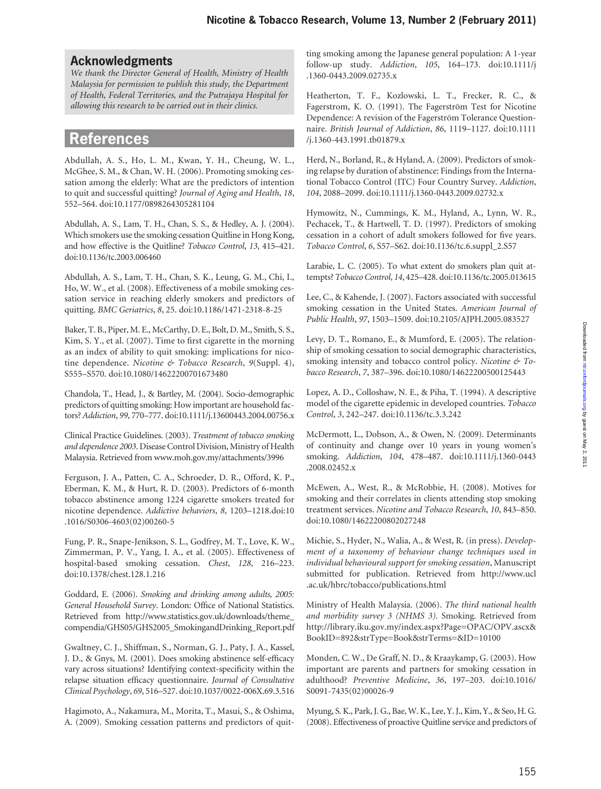#### **Acknowledgments**

*We thank the Director General of Health, Ministry of Health Malaysia for permission to publish this study, the Department of Health, Federal Territories, and the Putrajaya Hospital for allowing this research to be carried out in their clinics.*

# **References**

<span id="page-4-14"></span>Abdullah, A. S., Ho, L. M., Kwan, Y. H., Cheung, W. L., McGhee, S. M., & Chan, W. H. (2006). Promoting smoking cessation among the elderly: What are the predictors of intention to quit and successful quitting? *Journal of Aging and Health*, *18*, 552–564. doi:10.1177/0898264305281104

<span id="page-4-13"></span>Abdullah, A. S., Lam, T. H., Chan, S. S., & Hedley, A. J. (2004). Which smokers use the smoking cessation Quitline in Hong Kong, and how effective is the Quitline? *Tobacco Control*, *13*, 415–421. doi:10.1136/tc.2003.006460

<span id="page-4-15"></span>Abdullah, A. S., Lam, T. H., Chan, S. K., Leung, G. M., Chi, I., Ho, W. W., et al. (2008). Effectiveness of a mobile smoking cessation service in reaching elderly smokers and predictors of quitting. *BMC Geriatrics*, *8*, 25. doi:10.1186/1471-2318-8-25

<span id="page-4-0"></span>Baker, T. B., Piper, M. E., McCarthy, D. E., Bolt, D. M., Smith, S. S., Kim, S. Y., et al. (2007). Time to first cigarette in the morning as an index of ability to quit smoking: implications for nicotine dependence. *Nicotine & Tobacco Research*, *9*(Suppl. 4), S555–S570. doi:10.1080/14622200701673480

<span id="page-4-9"></span>Chandola, T., Head, J., & Bartley, M. (2004). Socio-demographic predictors of quitting smoking: How important are household factors? *Addiction*, *99*, 770–777. doi:10.1111/j.13600443.2004.00756.x

<span id="page-4-17"></span>Clinical Practice Guidelines. (2003). *Treatment of tobacco smoking and dependence 2003*. Disease Control Division, Ministry of Health Malaysia. Retrieved from www.moh.gov.my/attachments/3996

<span id="page-4-7"></span>Ferguson, J. A., Patten, C. A., Schroeder, D. R., Offord, K. P., Eberman, K. M., & Hurt, R. D. (2003). Predictors of 6-month tobacco abstinence among 1224 cigarette smokers treated for nicotine dependence. *Addictive behaviors*, *8*, 1203–1218.doi:10 .1016/S0306-4603(02)00260-5

<span id="page-4-11"></span>Fung, P. R., Snape-Jenikson, S. L., Godfrey, M. T., Love, K. W., Zimmerman, P. V., Yang, I. A., et al. (2005). Effectiveness of hospital-based smoking cessation. *Chest*, *128*, 216–223. doi:10.1378/chest.128.1.216

<span id="page-4-6"></span>Goddard, E. (2006). *Smoking and drinking among adults, 2005: General Household Survey*. London: Office of National Statistics. Retrieved from http://www.statistics.gov.uk/downloads/theme\_ compendia/GHS05/GHS2005\_SmokingandDrinking\_Report.pdf

<span id="page-4-12"></span>Gwaltney, C. J., Shiffman, S., Norman, G. J., Paty, J. A., Kassel, J. D., & Gnys, M. (2001). Does smoking abstinence self-efficacy vary across situations? Identifying context-specificity within the relapse situation efficacy questionnaire. *Journal of Consultative Clinical Psychology*, *69*, 516–527. doi:10.1037/0022-006X.69.3.516

<span id="page-4-8"></span>Hagimoto, A., Nakamura, M., Morita, T., Masui, S., & Oshima, A. (2009). Smoking cessation patterns and predictors of quitting smoking among the Japanese general population: A 1-year follow-up study. *Addiction*, *105*, 164–173. doi:10.1111/j .1360-0443.2009.02735.x

<span id="page-4-18"></span>Heatherton, T. F., Kozlowski, L. T., Frecker, R. C., & Fagerstrom, K. O. (1991). The Fagerström Test for Nicotine Dependence: A revision of the Fagerström Tolerance Questionnaire. *British Journal of Addiction*, *86*, 1119–1127. doi:10.1111 /j.1360-443.1991.tb01879.x

<span id="page-4-1"></span>Herd, N., Borland, R., & Hyland, A. (2009). Predictors of smoking relapse by duration of abstinence: Findings from the International Tobacco Control (ITC) Four Country Survey. *Addiction*, *104*, 2088–2099. doi:10.1111/j.1360-0443.2009.02732.x

<span id="page-4-5"></span>Hymowitz, N., Cummings, K. M., Hyland, A., Lynn, W. R., Pechacek, T., & Hartwell, T. D. (1997). Predictors of smoking cessation in a cohort of adult smokers followed for five years. *Tobacco Control*, *6*, S57–S62. doi:10.1136/tc.6.suppl\_2.S57

<span id="page-4-21"></span>Larabie, L. C. (2005). To what extent do smokers plan quit attempts? *Tobacco Control*, *14*, 425–428. doi:10.1136/tc.2005.013615

<span id="page-4-2"></span>Lee, C., & Kahende, J. (2007). Factors associated with successful smoking cessation in the United States. *American Journal of Public Health*, *97*, 1503–1509. doi:10.2105/AJPH.2005.083527

<span id="page-4-4"></span>Levy, D. T., Romano, E., & Mumford, E. (2005). The relationship of smoking cessation to social demographic characteristics, smoking intensity and tobacco control policy. *Nicotine & Tobacco Research*, *7*, 387–396. doi:10.1080/14622200500125443

<span id="page-4-19"></span>Lopez, A. D., Colloshaw, N. E., & Piha, T. (1994). A descriptive model of the cigarette epidemic in developed countries. *Tobacco Control*, *3*, 242–247. doi:10.1136/tc.3.3.242

<span id="page-4-3"></span>McDermott, L., Dobson, A., & Owen, N. (2009). Determinants of continuity and change over 10 years in young women's smoking. *Addiction*, *104*, 478–487. doi:10.1111/j.1360-0443 .2008.02452.x

McEwen, A., West, R., & McRobbie, H. (2008). Motives for smoking and their correlates in clients attending stop smoking treatment services. *Nicotine and Tobacco Research*, *10*, 843–850. doi:10.1080/14622200802027248

<span id="page-4-20"></span>Michie, S., Hyder, N., Walia, A., & West, R. (in press). *Development of a taxonomy of behaviour change techniques used in individual behavioural support for smoking cessation*, Manuscript submitted for publication. Retrieved from http://www.ucl .ac.uk/hbrc/tobacco/publications.html

<span id="page-4-22"></span>Ministry of Health Malaysia. (2006). *The third national health and morbidity survey 3 (NHMS 3).* Smoking. Retrieved from http://library.iku.gov.my/index.aspx?Page=OPAC/OPV.ascx& BookID=892&strType=Book&strTerms=&ID=10100

<span id="page-4-10"></span>Monden, C. W., De Graff, N. D., & Kraaykamp, G. (2003). How important are parents and partners for smoking cessation in adulthood? *Preventive Medicine*, *36*, 197–203. doi:10.1016/ S0091-7435(02)00026-9

<span id="page-4-16"></span>Myung, S. K., Park, J. G., Bae, W. K., Lee, Y. J., Kim, Y., & Seo, H. G. (2008). Effectiveness of proactive Quitline service and predictors of